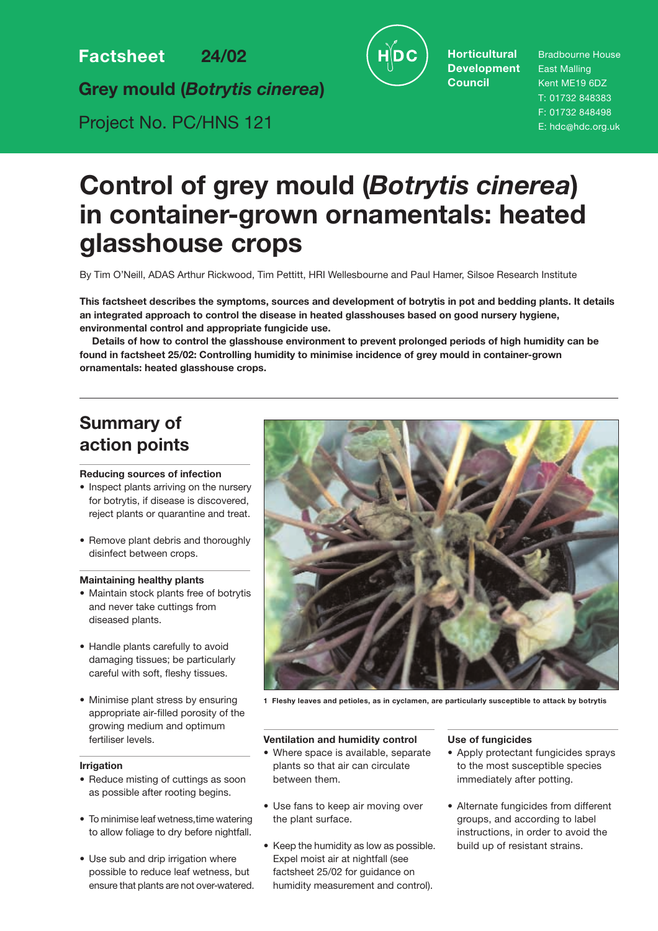**Factsheet 24/02**

**Grey mould (***Botrytis cinerea***)**

Project No. PC/HNS 121



**Horticultural Development Council**

Bradbourne House East Malling Kent ME19 6DZ T: 01732 848383 F: 01732 848498 E: hdc@hdc.org.uk

# **Control of grey mould (***Botrytis cinerea***) in container-grown ornamentals: heated glasshouse crops**

By Tim O'Neill, ADAS Arthur Rickwood, Tim Pettitt, HRI Wellesbourne and Paul Hamer, Silsoe Research Institute

**This factsheet describes the symptoms, sources and development of botrytis in pot and bedding plants. It details an integrated approach to control the disease in heated glasshouses based on good nursery hygiene, environmental control and appropriate fungicide use.** 

**Details of how to control the glasshouse environment to prevent prolonged periods of high humidity can be found in factsheet 25/02: Controlling humidity to minimise incidence of grey mould in container-grown ornamentals: heated glasshouse crops.**

## **Summary of action points**

#### **Reducing sources of infection**

- Inspect plants arriving on the nursery for botrytis, if disease is discovered, reject plants or quarantine and treat.
- Remove plant debris and thoroughly disinfect between crops.

#### **Maintaining healthy plants**

- Maintain stock plants free of botrytis and never take cuttings from diseased plants.
- Handle plants carefully to avoid damaging tissues; be particularly careful with soft, fleshy tissues.
- Minimise plant stress by ensuring appropriate air-filled porosity of the growing medium and optimum fertiliser levels.

#### **Irrigation**

- Reduce misting of cuttings as soon as possible after rooting begins.
- To minimise leaf wetness,time watering to allow foliage to dry before nightfall.
- Use sub and drip irrigation where possible to reduce leaf wetness, but ensure that plants are not over-watered.



**1 Fleshy leaves and petioles, as in cyclamen, are particularly susceptible to attack by botrytis**

#### **Ventilation and humidity control**

- Where space is available, separate plants so that air can circulate between them.
- Use fans to keep air moving over the plant surface.
- Keep the humidity as low as possible. Expel moist air at nightfall (see factsheet 25/02 for guidance on humidity measurement and control).

#### **Use of fungicides**

- Apply protectant fungicides sprays to the most susceptible species immediately after potting.
- Alternate fungicides from different groups, and according to label instructions, in order to avoid the build up of resistant strains.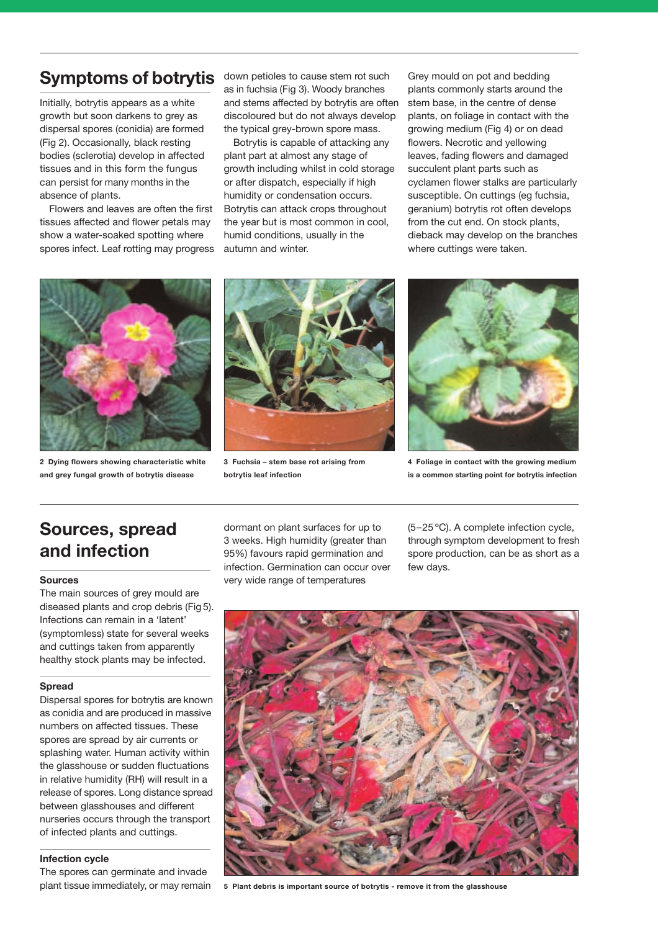### **Symptoms of botrytis**

Initially, botrytis appears as a white growth but soon darkens to grey as dispersal spores (conidia) are formed (Fig 2). Occasionally, black resting bodies (sclerotia) develop in affected tissues and in this form the fungus can persist for many months in the absence of plants.

Flowers and leaves are often the first tissues affected and flower petals may show a water-soaked spotting where spores infect. Leaf rotting may progress down petioles to cause stem rot such as in fuchsia (Fig 3). Woody branches and stems affected by botrytis are often discoloured but do not always develop the typical grey-brown spore mass.

Botrytis is capable of attacking any plant part at almost any stage of growth including whilst in cold storage or after dispatch, especially if high humidity or condensation occurs. Botrytis can attack crops throughout the year but is most common in cool, humid conditions, usually in the autumn and winter.

Grey mould on pot and bedding plants commonly starts around the stem base, in the centre of dense plants, on foliage in contact with the growing medium (Fig 4) or on dead flowers. Necrotic and yellowing leaves, fading flowers and damaged succulent plant parts such as cyclamen flower stalks are particularly susceptible. On cuttings (eg fuchsia, geranium) botrytis rot often develops from the cut end. On stock plants, dieback may develop on the branches where cuttings were taken.



**2 Dying flowers showing characteristic white and grey fungal growth of botrytis disease**



**3 Fuchsia – stem base rot arising from botrytis leaf infection**



**4 Foliage in contact with the growing medium is a common starting point for botrytis infection**

## **Sources, spread and infection**

#### **Sources**

The main sources of grey mould are diseased plants and crop debris (Fig 5). Infections can remain in a 'latent' (symptomless) state for several weeks and cuttings taken from apparently healthy stock plants may be infected.

#### **Spread**

Dispersal spores for botrytis are known as conidia and are produced in massive numbers on affected tissues. These spores are spread by air currents or splashing water. Human activity within the glasshouse or sudden fluctuations in relative humidity (RH) will result in a release of spores. Long distance spread between glasshouses and different nurseries occurs through the transport of infected plants and cuttings.

#### **Infection cycle**

The spores can germinate and invade plant tissue immediately, or may remain dormant on plant surfaces for up to 3 weeks. High humidity (greater than 95%) favours rapid germination and infection. Germination can occur over very wide range of temperatures

(5–25 ºC). A complete infection cycle, through symptom development to fresh spore production, can be as short as a few days.



**5 Plant debris is important source of botrytis - remove it from the glasshouse**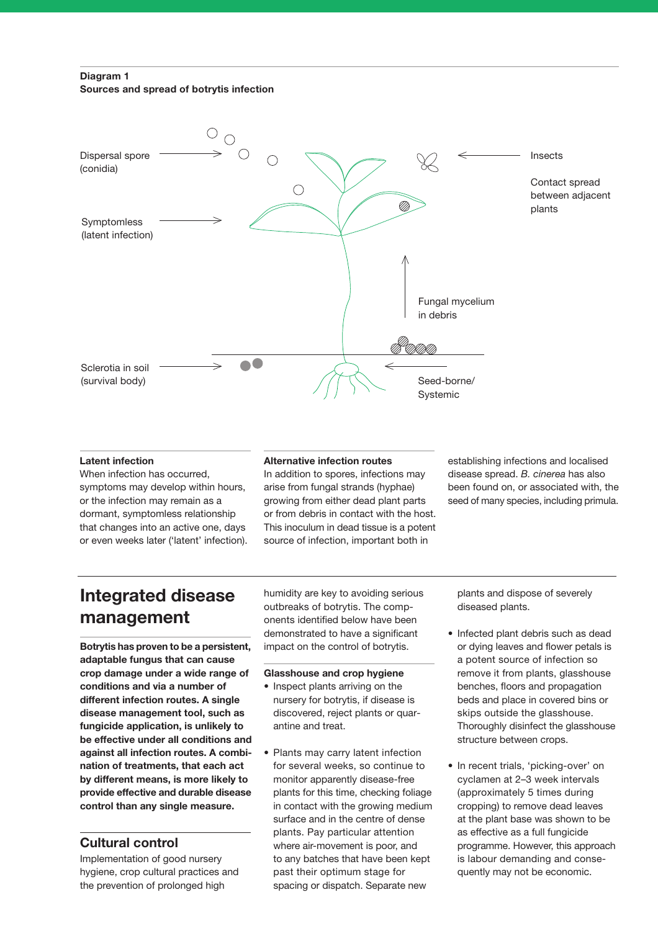#### **Diagram 1 Sources and spread of botrytis infection**



#### **Latent infection**

When infection has occurred, symptoms may develop within hours, or the infection may remain as a dormant, symptomless relationship that changes into an active one, days or even weeks later ('latent' infection).

#### **Alternative infection routes**

In addition to spores, infections may arise from fungal strands (hyphae) growing from either dead plant parts or from debris in contact with the host. This inoculum in dead tissue is a potent source of infection, important both in

establishing infections and localised disease spread. *B. cinerea* has also been found on, or associated with, the seed of many species, including primula.

### **Integrated disease management**

**Botrytis has proven to be a persistent, adaptable fungus that can cause crop damage under a wide range of conditions and via a number of different infection routes. A single disease management tool, such as fungicide application, is unlikely to be effective under all conditions and against all infection routes. A combination of treatments, that each act by different means, is more likely to provide effective and durable disease control than any single measure.** 

### **Cultural control**

Implementation of good nursery hygiene, crop cultural practices and the prevention of prolonged high

humidity are key to avoiding serious outbreaks of botrytis. The components identified below have been demonstrated to have a significant impact on the control of botrytis.

#### **Glasshouse and crop hygiene**

- Inspect plants arriving on the nursery for botrytis, if disease is discovered, reject plants or quarantine and treat.
- Plants may carry latent infection for several weeks, so continue to monitor apparently disease-free plants for this time, checking foliage in contact with the growing medium surface and in the centre of dense plants. Pay particular attention where air-movement is poor, and to any batches that have been kept past their optimum stage for spacing or dispatch. Separate new

plants and dispose of severely diseased plants.

- Infected plant debris such as dead or dying leaves and flower petals is a potent source of infection so remove it from plants, glasshouse benches, floors and propagation beds and place in covered bins or skips outside the glasshouse. Thoroughly disinfect the glasshouse structure between crops.
- In recent trials, 'picking-over' on cyclamen at 2–3 week intervals (approximately 5 times during cropping) to remove dead leaves at the plant base was shown to be as effective as a full fungicide programme. However, this approach is labour demanding and consequently may not be economic.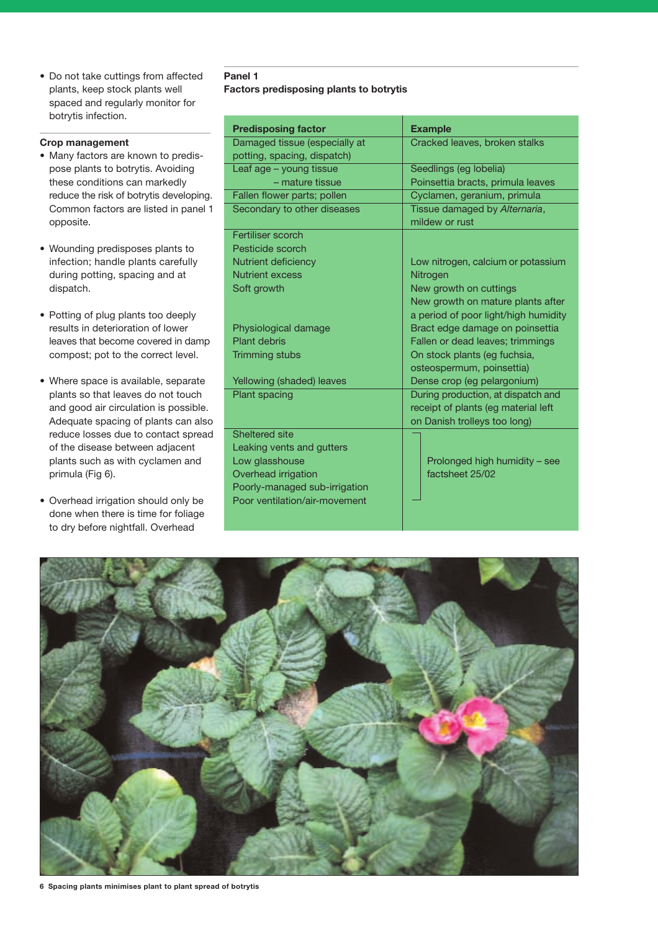• Do not take cuttings from affected plants, keep stock plants well spaced and regularly monitor for botrytis infection.

#### **Crop management**

- Many factors are known to predispose plants to botrytis. Avoiding these conditions can markedly reduce the risk of botrytis developing. Common factors are listed in panel 1 opposite.
- Wounding predisposes plants to infection; handle plants carefully during potting, spacing and at dispatch.
- Potting of plug plants too deeply results in deterioration of lower leaves that become covered in damp compost; pot to the correct level.
- Where space is available, separate plants so that leaves do not touch and good air circulation is possible. Adequate spacing of plants can also reduce losses due to contact spread of the disease between adjacent plants such as with cyclamen and primula (Fig 6).
- Overhead irrigation should only be done when there is time for foliage to dry before nightfall. Overhead

#### **Panel 1 Factors predisposing plants to botrytis**

| <b>Predisposing factor</b>    | <b>Example</b>                                  |  |  |
|-------------------------------|-------------------------------------------------|--|--|
| Damaged tissue (especially at | Cracked leaves, broken stalks                   |  |  |
| potting, spacing, dispatch)   |                                                 |  |  |
| Leaf age - young tissue       | Seedlings (eg lobelia)                          |  |  |
| - mature tissue               | Poinsettia bracts, primula leaves               |  |  |
| Fallen flower parts; pollen   | Cyclamen, geranium, primula                     |  |  |
| Secondary to other diseases   | Tissue damaged by Alternaria,<br>mildew or rust |  |  |
| Fertiliser scorch             |                                                 |  |  |
| Pesticide scorch              |                                                 |  |  |
| Nutrient deficiency           | Low nitrogen, calcium or potassium              |  |  |
| <b>Nutrient excess</b>        | Nitrogen                                        |  |  |
| Soft growth                   | New growth on cuttings                          |  |  |
|                               | New growth on mature plants after               |  |  |
|                               | a period of poor light/high humidity            |  |  |
| Physiological damage          | Bract edge damage on poinsettia                 |  |  |
| <b>Plant debris</b>           | Fallen or dead leaves; trimmings                |  |  |
| <b>Trimming stubs</b>         | On stock plants (eg fuchsia,                    |  |  |
|                               | osteospermum, poinsettia)                       |  |  |
| Yellowing (shaded) leaves     | Dense crop (eg pelargonium)                     |  |  |
| <b>Plant spacing</b>          | During production, at dispatch and              |  |  |
|                               | receipt of plants (eg material left             |  |  |
|                               | on Danish trolleys too long)                    |  |  |
| Sheltered site                |                                                 |  |  |
| Leaking vents and gutters     |                                                 |  |  |
| Low glasshouse                | Prolonged high humidity - see                   |  |  |
| Overhead irrigation           | factsheet 25/02                                 |  |  |
| Poorly-managed sub-irrigation |                                                 |  |  |
| Poor ventilation/air-movement |                                                 |  |  |



**6 Spacing plants minimises plant to plant spread of botrytis**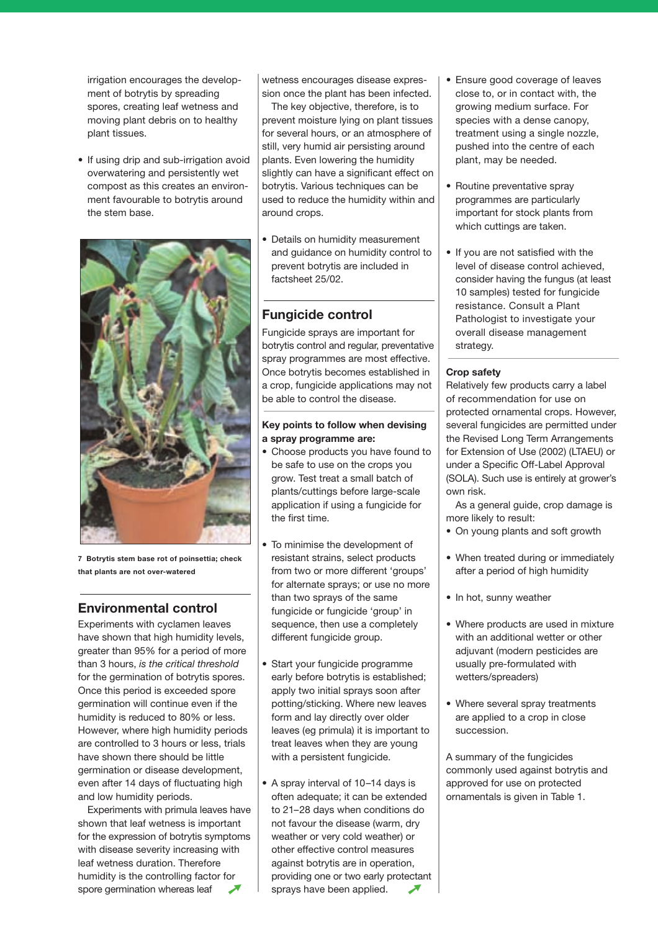<span id="page-4-0"></span>irrigation encourages the development of botrytis by spreading spores, creating leaf wetness and moving plant debris on to healthy plant tissues.

• If using drip and sub-irrigation avoid overwatering and persistently wet compost as this creates an environment favourable to botrytis around the stem base.



**7 Botrytis stem base rot of poinsettia; check that plants are not over-watered**

### **Environmental control**

Experiments with cyclamen leaves have shown that high humidity levels, greater than 95% for a period of more than 3 hours, *is the critical threshold* for the germination of botrytis spores. Once this period is exceeded spore germination will continue even if the humidity is reduced to 80% or less. However, where high humidity periods are controlled to 3 hours or less, trials have shown there should be little germination or disease development, even after 14 days of fluctuating high and low humidity periods.

Experiments with primula leaves have shown that leaf wetness is important for the expression of botrytis symptoms with disease severity increasing with leaf wetness duration. Therefore humidity is the controlling factor for spore germination whereas leaf

[w](#page-4-0)etness encourages disease expression once the plant has been infected.

The key objective, therefore, is to prevent moisture lying on plant tissues for several hours, or an atmosphere of still, very humid air persisting around plants. Even lowering the humidity slightly can have a significant effect on botrytis. Various techniques can be used to reduce the humidity within and around crops.

• Details on humidity measurement and guidance on humidity control to prevent botrytis are included in factsheet 25/02.

### **Fungicide control**

Fungicide sprays are important for botrytis control and regular, preventative spray programmes are most effective. Once botrytis becomes established in a crop, fungicide applications may not be able to control the disease.

#### **Key points to follow when devising a spray programme are:**

- Choose products you have found to be safe to use on the crops you grow. Test treat a small batch of plants/cuttings before large-scale application if using a fungicide for the first time.
- To minimise the development of resistant strains, select products from two or more different 'groups' for alternate sprays; or use no more than two sprays of the same fungicide or fungicide 'group' in sequence, then use a completely different fungicide group.
- Start your fungicide programme early before botrytis is established; apply two initial sprays soon after potting/sticking. Where new leaves form and lay directly over older leaves (eg primula) it is important to treat leaves when they are young with a persistent fungicide.
- A spray interval of 10–14 days is often adequate; it can be extended to 21–28 days when conditions do not favour the disease (warm, dry weather or very cold weather) or other effective control measures against botrytis are in operation, providing one or two early protectant sprays have been applied.
- Ensure good coverage of leaves close to, or in contact with, the growing medium surface. For species with a dense canopy, treatment using a single nozzle, pushed into the centre of each plant, may be needed.
- Routine preventative spray programmes are particularly important for stock plants from which cuttings are taken.
- If you are not satisfied with the level of disease control achieved, consider having the fungus (at least 10 samples) tested for fungicide resistance. Consult a Plant Pathologist to investigate your overall disease management strategy.

#### **Crop safety**

Relatively few products carry a label of recommendation for use on protected ornamental crops. However, several fungicides are permitted under the Revised Long Term Arrangements for Extension of Use (2002) (LTAEU) or under a Specific Off-Label Approval (SOLA). Such use is entirely at grower's own risk.

As a general guide, crop damage is more likely to result:

- On young plants and soft growth
- When treated during or immediately after a period of high humidity
- In hot, sunny weather
- Where products are used in mixture with an additional wetter or other adjuvant (modern pesticides are usually pre-formulated with wetters/spreaders)
- Where several spray treatments are applied to a crop in close succession.

A summary of the fungicides commonly used against botrytis and approved for use on protected ornamentals is given in Table 1.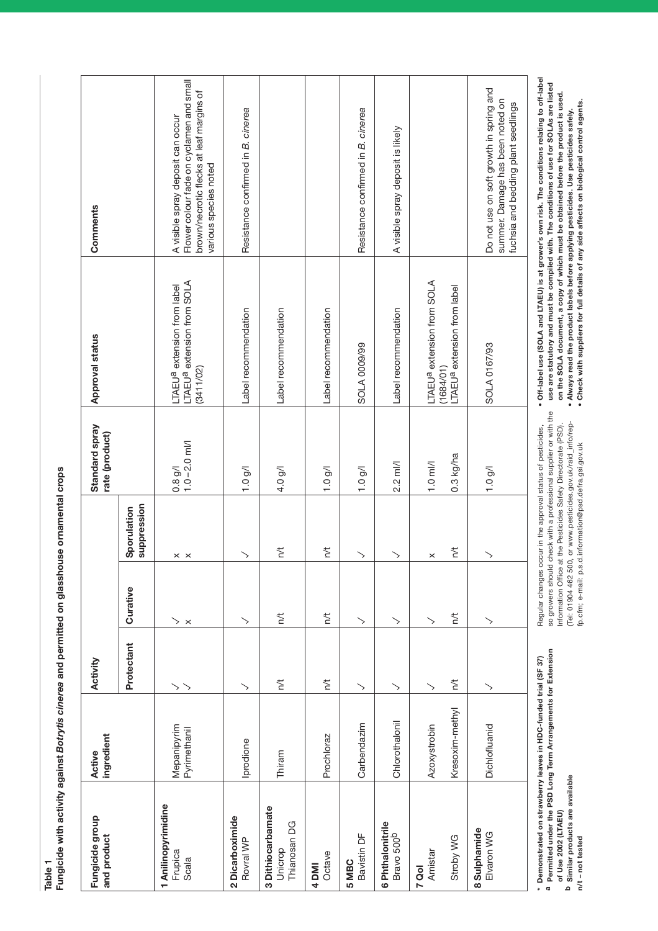**Table 1**

| .<br>.<br>.                                                                             |  |
|-----------------------------------------------------------------------------------------|--|
|                                                                                         |  |
|                                                                                         |  |
|                                                                                         |  |
|                                                                                         |  |
|                                                                                         |  |
|                                                                                         |  |
| ֖֖֖֧֧֧֧֧֧֧֧֪ׅ֧֧֪ׅ֧֧֪֧֪ׅ֧֪֧֧֪֧֧֪֧֚֚֚֚֚֚֚֚֚֚֚֚֚֚֚֚֚֚֚֚֚֚֚֚֚֚֚֚֚֚֚֡֬֝֓֝֓֝֓֝֓֝֓֝֓֝֬֝֬֝֬֝֬֝֬ |  |
|                                                                                         |  |
|                                                                                         |  |
|                                                                                         |  |
|                                                                                         |  |
|                                                                                         |  |
|                                                                                         |  |
|                                                                                         |  |
|                                                                                         |  |
|                                                                                         |  |
|                                                                                         |  |
|                                                                                         |  |
| باممماته متم الممطط                                                                     |  |
|                                                                                         |  |
|                                                                                         |  |
|                                                                                         |  |
|                                                                                         |  |
|                                                                                         |  |
|                                                                                         |  |
|                                                                                         |  |
|                                                                                         |  |
|                                                                                         |  |
|                                                                                         |  |
|                                                                                         |  |
|                                                                                         |  |
|                                                                                         |  |
|                                                                                         |  |
|                                                                                         |  |
|                                                                                         |  |
|                                                                                         |  |
|                                                                                         |  |
|                                                                                         |  |
|                                                                                         |  |
| וומות היה היה היה המות                                                                  |  |
|                                                                                         |  |
|                                                                                         |  |
|                                                                                         |  |
|                                                                                         |  |
|                                                                                         |  |
|                                                                                         |  |
|                                                                                         |  |
|                                                                                         |  |
|                                                                                         |  |
|                                                                                         |  |
|                                                                                         |  |
|                                                                                         |  |
| adamst Botrytis cinerea and political                                                   |  |
|                                                                                         |  |
|                                                                                         |  |
|                                                                                         |  |
|                                                                                         |  |
|                                                                                         |  |
| ֖֖֧֧֧֧֧֧֧֧֧֧֧֧֧֧֚֚֚֚֚֚֚֚֚֚֚֚֚֚֚֚֚֚֚֚֡֝֓֝֓֝֬֝֓֝֬֓֝֓֓֓֝֬֓֝֬֝֬֝֬                           |  |
|                                                                                         |  |
|                                                                                         |  |
| i<br>Santa Caraca                                                                       |  |
|                                                                                         |  |
|                                                                                         |  |
|                                                                                         |  |
|                                                                                         |  |
| l                                                                                       |  |

| Fungicide group<br>and product                                  | ingredient<br>Active            | Activity   |                                   |                            | Standard spray<br>rate (product)            | <b>Approval status</b>                                                                         | Comments                                                                                                                                           |
|-----------------------------------------------------------------|---------------------------------|------------|-----------------------------------|----------------------------|---------------------------------------------|------------------------------------------------------------------------------------------------|----------------------------------------------------------------------------------------------------------------------------------------------------|
|                                                                 |                                 | Protectant | Curative                          | suppression<br>Sporulation |                                             |                                                                                                |                                                                                                                                                    |
| 1 Anilinopyrimidine<br>Frupica<br>Scala                         | Mepanipyrim<br>Pyrimethanil     | ↘<br>>     | $\scriptstyle\diagup$<br>$\times$ | $\times$ $\times$          | $1.0 - 2.0$ ml/l<br>0.8 g/l                 | LTAEU <sup>a</sup> extension from SOLA<br>LTAEU <sup>a</sup> extension from label<br>(3411/02) | Flower colour fade on cyclamen and small<br>brown/necrotic flecks at leaf margins of<br>A visible spray deposit can occur<br>various species noted |
| 2 Dicarboximide<br>Rovral WP                                    | prodione                        |            | ゝ                                 |                            | 1.0 g/1                                     | Label recommendation                                                                           | Resistance confirmed in B. cinerea                                                                                                                 |
| 3 Dithiocarbamate<br>Thianosan DG<br>Unicrop                    | Thiram                          | n/t        | $\overline{\phantom{a}}$          | $\overline{r}$             | $4.0$ g/l                                   | Label recommendation                                                                           |                                                                                                                                                    |
| Octave<br>4 DMI                                                 | Prochloraz                      | n/t        | $\overline{h}$                    | $\overline{r}$             | 1.0 g/l                                     | Label recommendation                                                                           |                                                                                                                                                    |
| Bavistin DF<br>5 MBC                                            | Carbendazim                     | ↘          | ↘                                 |                            | $1.0$ g/l                                   | <b>SOLA 0009/99</b>                                                                            | Resistance confirmed in B. cinerea                                                                                                                 |
| 6 Phthalonitrile<br>Bravo 500 <sup>b</sup>                      | Chlorothalonil                  | ↘          | ↘                                 |                            | $2.2$ ml/l                                  | Label recommendation                                                                           | A visible spray deposit is likely                                                                                                                  |
| Stroby WG<br>Amistar<br>7 Qol                                   | Kresoxim-methyl<br>Azoxystrobin | n/t<br>↘   | $\overline{h}$<br>↘               | $\overline{C}$<br>×        | $0.3$ kg/ha<br>$1.0$ ml/l                   | LTAEU <sup>a</sup> extension from SOLA<br>(1684/01)<br>LTAEU <sup>a</sup> extension from label |                                                                                                                                                    |
| 8 Sulphamide<br>Elvaron WG                                      | Dichlofluanid                   | ↘          | ↘                                 |                            | 1.0 g/l                                     | SOLA 0167/93                                                                                   | Do not use on soft growth in spring and<br>summer. Damage has been noted on<br>fuchsia and bedding plant seedlings                                 |
| * Demonstrated on strawberry leaves in HDC-funded trial (SF 37) |                                 |            | Regular changes                   |                            | occur in the approval status of pesticides, |                                                                                                | • Off-label use (SOLA and LTAEU) is at grower's own risk. The conditions relating to off-label                                                     |

**\* Demonstrated on strawberry leaves in HDC-funded trial (SF 37)** \* Demonstrated on strawberry leaves in HDC-funded trial (SF 37)<br><sup>a</sup> Permitted under the PSD Long Term Arrangements for Extension

 **Permitted under the PSD Long Term Arrangements for Extension of Use 2002 (LTAEU)**

of Use 2002 (LTAEU)<br><sup>b</sup> Similar products are available **Similar products are available**

n/t-not tested **n/t – not tested**

so growers should check with a professional supplier or with the<br>Information Office at the Pesticides Safety Directorate (PSD). so growers should check with a professional supplier or with the (Tel: 01904 462 500, or www.pesticides.gov.uk/raid\_info/rep-<br>fp.cfm; e-mail: p.s.d.information@psd.defra.gsi.gov.uk (Tel: 01904 462 500, or www.pesticides.gov.uk/raid\_info/rep-Information Office at the Pesticides Safety Directorate (PSD). fp.cfm; e-mail: p.s.d.information@psd.defra.gsi.gov.uk

••

· Off-label use (SOLA and LTAEU) is at grower's own risk. The conditions relating to off-label **Off-label use (SOLA and LTAEU) is at grower's own risk. The conditions relating to off-label** use are statutory and must be compiled with. The conditions of use for SOLAs are listed **use are statutory and must be compiled with. The conditions of use for SOLAs are listed on the SOLA document, a copy of which must be obtained before the product is used. Check with suppliers for full details of any side affects on biological control agents. Always read the product labels before applying pesticides. Use pesticides safely.**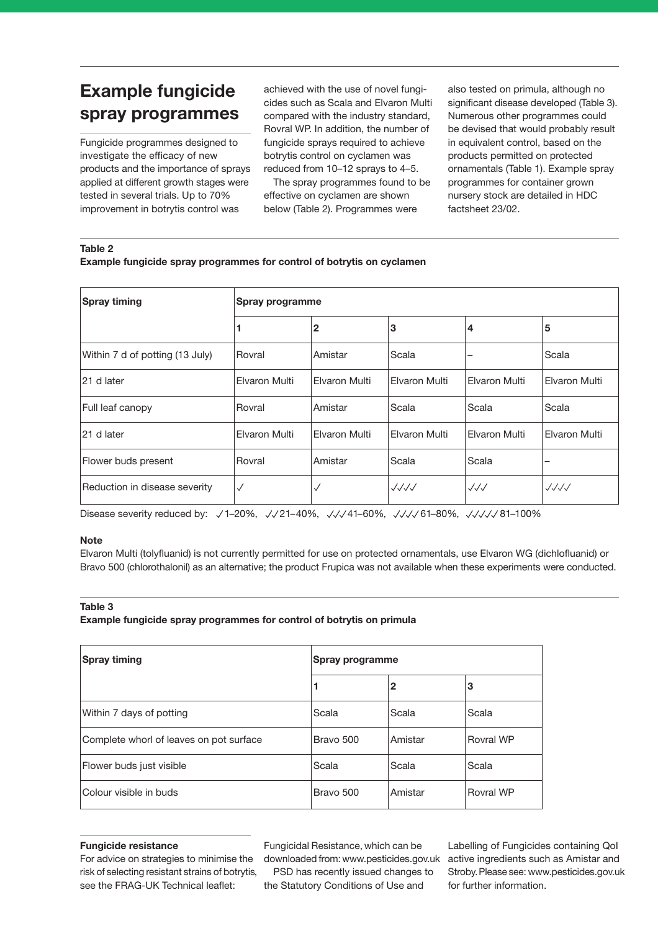## **Example fungicide spray programmes**

Fungicide programmes designed to investigate the efficacy of new products and the importance of sprays applied at different growth stages were tested in several trials. Up to 70% improvement in botrytis control was

achieved with the use of novel fungicides such as Scala and Elvaron Multi compared with the industry standard, Rovral WP. In addition, the number of fungicide sprays required to achieve botrytis control on cyclamen was reduced from 10–12 sprays to 4–5.

The spray programmes found to be effective on cyclamen are shown below (Table 2). Programmes were

also tested on primula, although no significant disease developed (Table 3). Numerous other programmes could be devised that would probably result in equivalent control, based on the products permitted on protected ornamentals (Table 1). Example spray programmes for container grown nursery stock are detailed in HDC factsheet 23/02.

#### **Table 2**

**Example fungicide spray programmes for control of botrytis on cyclamen**

| <b>Spray timing</b>             | Spray programme |               |               |                  |                          |
|---------------------------------|-----------------|---------------|---------------|------------------|--------------------------|
|                                 |                 | $\mathbf{2}$  | 3             | 4                | 5                        |
| Within 7 d of potting (13 July) | Rovral          | Amistar       | Scala         | -                | Scala                    |
| 21 d later                      | Elvaron Multi   | Elvaron Multi | Elvaron Multi | Elvaron Multi    | Elvaron Multi            |
| Full leaf canopy                | Rovral          | Amistar       | Scala         | Scala            | Scala                    |
| 21 d later                      | Elvaron Multi   | Elvaron Multi | Elvaron Multi | Elvaron Multi    | Elvaron Multi            |
| Flower buds present             | Rovral          | Amistar       | Scala         | Scala            |                          |
| Reduction in disease severity   | $\checkmark$    | ✓             | JJJJ          | $\sqrt{\sqrt{}}$ | $\sqrt{\sqrt{\sqrt{}}}}$ |

Disease severity reduced by: √1-20%, √/21-40%, √/√41-60%, √/√/61-80%, √/√/√81-100%

#### **Note**

Elvaron Multi (tolyfluanid) is not currently permitted for use on protected ornamentals, use Elvaron WG (dichlofluanid) or Bravo 500 (chlorothalonil) as an alternative; the product Frupica was not available when these experiments were conducted.

#### **Table 3**

**Example fungicide spray programmes for control of botrytis on primula**

| Spray timing                            | Spray programme |              |           |  |
|-----------------------------------------|-----------------|--------------|-----------|--|
|                                         | 1               | $\mathbf{2}$ | З         |  |
| Within 7 days of potting                | Scala           | Scala        | Scala     |  |
| Complete whorl of leaves on pot surface | Bravo 500       | Amistar      | Rovral WP |  |
| Flower buds just visible                | Scala           | Scala        | Scala     |  |
| Colour visible in buds                  | Bravo 500       | Amistar      | Rovral WP |  |

#### **Fungicide resistance**

For advice on strategies to minimise the risk of selecting resistant strains of botrytis, see the FRAG-UK Technical leaflet:

Fungicidal Resistance, which can be downloaded from: www.pesticides.gov.uk PSD has recently issued changes to the Statutory Conditions of Use and

Labelling of Fungicides containing QoI active ingredients such as Amistar and Stroby.Please see: www.pesticides.gov.uk for further information.